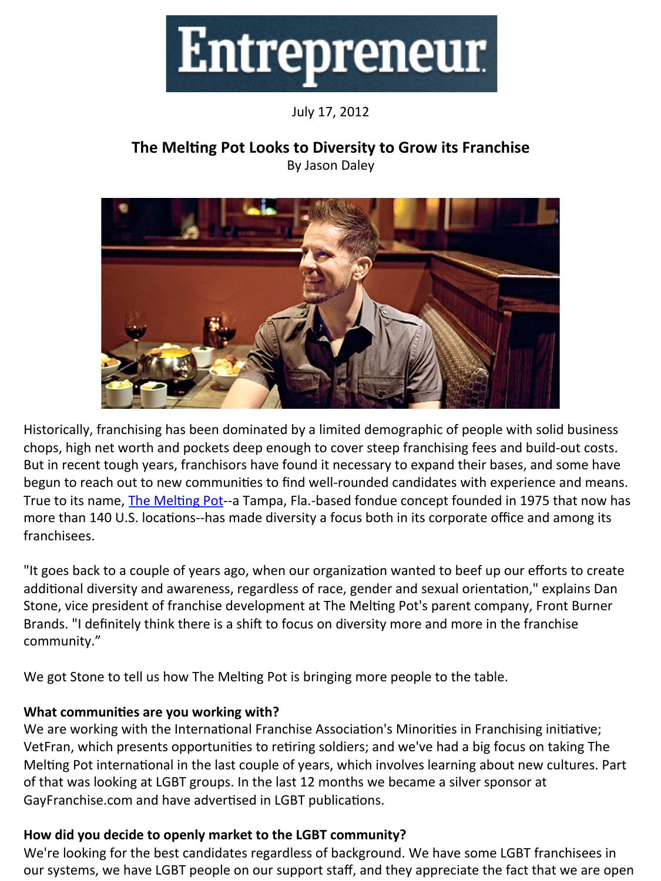

## July 17, 2012

# **The Melting Pot Looks to Diversity to Grow its Franchise** By Jason Daley



Historically, franchising has been dominated by a limited demographic of people with solid business chops, high net worth and pockets deep enough to cover steep franchising fees and build-out costs. But in recent tough years, franchisors have found it necessary to expand their bases, and some have begun to reach out to new communities to find well-rounded candidates with experience and means. True to its name, The Melting Pot--a Tampa, Fla.-based fondue concept founded in 1975 that now has more than 140 U.S. locations--has made diversity a focus both in its corporate office and among its franchisees. 

"It goes back to a couple of years ago, when our organization wanted to beef up our efforts to create additional diversity and awareness, regardless of race, gender and sexual orientation," explains Dan Stone, vice president of franchise development at The Melting Pot's parent company, Front Burner Brands. "I definitely think there is a shift to focus on diversity more and more in the franchise community." 

We got Stone to tell us how The Melting Pot is bringing more people to the table.

#### **What communities are you working with?**

We are working with the International Franchise Association's Minorities in Franchising initiative; VetFran, which presents opportunities to retiring soldiers; and we've had a big focus on taking The Melting Pot international in the last couple of years, which involves learning about new cultures. Part of that was looking at LGBT groups. In the last 12 months we became a silver sponsor at GayFranchise.com and have advertised in LGBT publications.

## How did you decide to openly market to the LGBT community?

We're looking for the best candidates regardless of background. We have some LGBT franchisees in our systems, we have LGBT people on our support staff, and they appreciate the fact that we are open